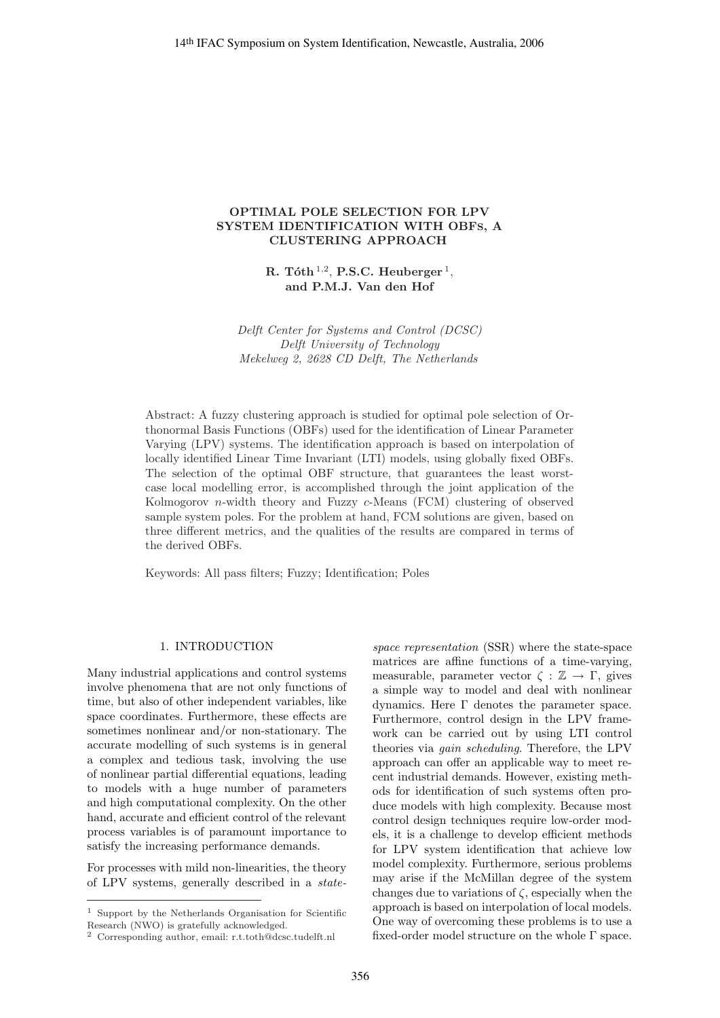# **OPTIMAL POLE SELECTION FOR LPV SYSTEM IDENTIFICATION WITH OBFS, A CLUSTERING APPROACH**

**R. T´oth** <sup>1</sup>,<sup>2</sup>, **P.S.C. Heuberger** <sup>1</sup>, **and P.M.J. Van den Hof**

Delft Center for Systems and Control (DCSC) Delft University of Technology Mekelweg 2, 2628 CD Delft, The Netherlands

Abstract: A fuzzy clustering approach is studied for optimal pole selection of Orthonormal Basis Functions (OBFs) used for the identification of Linear Parameter Varying (LPV) systems. The identification approach is based on interpolation of locally identified Linear Time Invariant (LTI) models, using globally fixed OBFs. The selection of the optimal OBF structure, that guarantees the least worstcase local modelling error, is accomplished through the joint application of the Kolmogorov n-width theory and Fuzzy c-Means (FCM) clustering of observed sample system poles. For the problem at hand, FCM solutions are given, based on three different metrics, and the qualities of the results are compared in terms of the derived OBFs. 2444 IFAC Symposium on System Identification, Newcastle, Australia, 2006<br>
SYSTEM IDENTIFICATION WITH OBER, A<br>
SYSTEM IDENTIFICATION WITH OBER, A<br>
CLUSTERING APPROACH<br>
R. TaSh<sup>175</sup>, P.S.C. Heudeseger<sup>1</sup>,<br>
and PMLJ. Van den

Keywords: All pass filters; Fuzzy; Identification; Poles

# 1. INTRODUCTION

Many industrial applications and control systems involve phenomena that are not only functions of time, but also of other independent variables, like space coordinates. Furthermore, these effects are sometimes nonlinear and/or non-stationary. The accurate modelling of such systems is in general a complex and tedious task, involving the use of nonlinear partial differential equations, leading to models with a huge number of parameters and high computational complexity. On the other hand, accurate and efficient control of the relevant process variables is of paramount importance to satisfy the increasing performance demands.

For processes with mild non-linearities, the theory of LPV systems, generally described in a statespace representation (SSR) where the state-space matrices are affine functions of a time-varying, measurable, parameter vector  $\zeta : \mathbb{Z} \to \Gamma$ , gives a simple way to model and deal with nonlinear dynamics. Here Γ denotes the parameter space. Furthermore, control design in the LPV framework can be carried out by using LTI control theories via gain scheduling. Therefore, the LPV approach can offer an applicable way to meet recent industrial demands. However, existing methods for identification of such systems often produce models with high complexity. Because most control design techniques require low-order models, it is a challenge to develop efficient methods for LPV system identification that achieve low model complexity. Furthermore, serious problems may arise if the McMillan degree of the system changes due to variations of  $\zeta$ , especially when the approach is based on interpolation of local models. One way of overcoming these problems is to use a fixed-order model structure on the whole Γ space.

<sup>1</sup> Support by the Netherlands Organisation for Scientific Research (NWO) is gratefully acknowledged.

<sup>2</sup> Corresponding author, email: r.t.toth@dcsc.tudelft.nl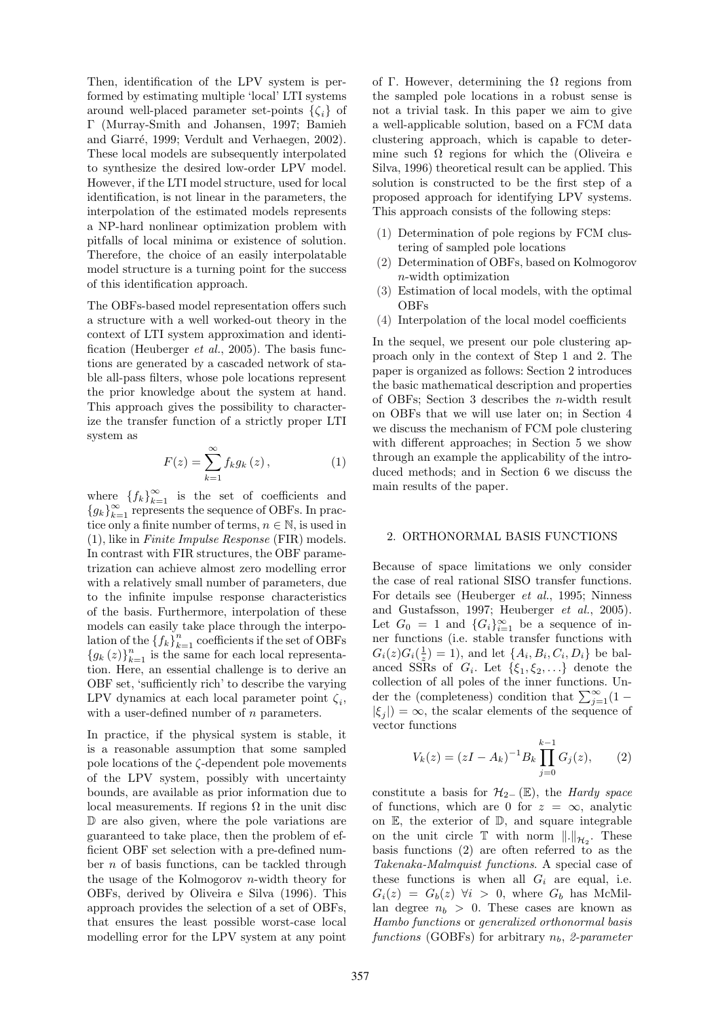Then, identification of the LPV system is performed by estimating multiple 'local' LTI systems around well-placed parameter set-points  $\{\zeta_i\}$  of Γ (Murray-Smith and Johansen, 1997; Bamieh and Giarré, 1999; Verdult and Verhaegen, 2002). These local models are subsequently interpolated to synthesize the desired low-order LPV model. However, if the LTI model structure, used for local identification, is not linear in the parameters, the interpolation of the estimated models represents a NP-hard nonlinear optimization problem with pitfalls of local minima or existence of solution. Therefore, the choice of an easily interpolatable model structure is a turning point for the success of this identification approach.

The OBFs-based model representation offers such a structure with a well worked-out theory in the context of LTI system approximation and identification (Heuberger *et al.*, 2005). The basis functions are generated by a cascaded network of stable all-pass filters, whose pole locations represent the prior knowledge about the system at hand. This approach gives the possibility to characterize the transfer function of a strictly proper LTI system as

$$
F(z) = \sum_{k=1}^{\infty} f_k g_k(z), \qquad (1)
$$

where  $\{f_k\}_{k=1}^{\infty}$  is the set of coefficients and  ${g_k}_{k=1}^{\infty}$  represents the sequence of OBFs. In practice only a finite number of terms,  $n \in \mathbb{N}$ , is used in (1), like in Finite Impulse Response (FIR) models. In contrast with FIR structures, the OBF parametrization can achieve almost zero modelling error with a relatively small number of parameters, due to the infinite impulse response characteristics of the basis. Furthermore, interpolation of these models can easily take place through the interpolation of the  ${f_k}_{k=1}^n$  coefficients if the set of OBFs  ${g_k(z)}_{k=1}^n$  is the same for each local representation. Here, an essential challenge is to derive an OBF set, 'sufficiently rich' to describe the varying LPV dynamics at each local parameter point  $\zeta_i$ , with a user-defined number of *n* parameters.

In practice, if the physical system is stable, it is a reasonable assumption that some sampled pole locations of the ζ-dependent pole movements of the LPV system, possibly with uncertainty bounds, are available as prior information due to local measurements. If regions  $\Omega$  in the unit disc D are also given, where the pole variations are guaranteed to take place, then the problem of efficient OBF set selection with a pre-defined number  $n$  of basis functions, can be tackled through the usage of the Kolmogorov n-width theory for OBFs, derived by Oliveira e Silva (1996). This approach provides the selection of a set of OBFs, that ensures the least possible worst-case local modelling error for the LPV system at any point

of Γ. However, determining the  $\Omega$  regions from the sampled pole locations in a robust sense is not a trivial task. In this paper we aim to give a well-applicable solution, based on a FCM data clustering approach, which is capable to determine such  $\Omega$  regions for which the (Oliveira e Silva, 1996) theoretical result can be applied. This solution is constructed to be the first step of a proposed approach for identifying LPV systems. This approach consists of the following steps:

- (1) Determination of pole regions by FCM clustering of sampled pole locations
- (2) Determination of OBFs, based on Kolmogorov n-width optimization
- (3) Estimation of local models, with the optimal OBFs
- (4) Interpolation of the local model coefficients

In the sequel, we present our pole clustering approach only in the context of Step 1 and 2. The paper is organized as follows: Section 2 introduces the basic mathematical description and properties of OBFs; Section 3 describes the n-width result on OBFs that we will use later on; in Section 4 we discuss the mechanism of FCM pole clustering with different approaches; in Section 5 we show through an example the applicability of the introduced methods; and in Section 6 we discuss the main results of the paper.

# 2. ORTHONORMAL BASIS FUNCTIONS

Because of space limitations we only consider the case of real rational SISO transfer functions. For details see (Heuberger et al., 1995; Ninness and Gustafsson, 1997; Heuberger et al., 2005). Let  $G_0 = 1$  and  $\{G_i\}_{i=1}^{\infty}$  be a sequence of inner functions (i.e. stable transfer functions with  $G_i(z)G_i(\frac{1}{z})=1$ , and let  $\{A_i, B_i, C_i, D_i\}$  be balanced SSRs of  $G_i$ . Let  $\{\xi_1, \xi_2, ...\}$  denote the collection of all poles of the inner functions. Under the (completeness) condition that  $\sum_{j=1}^{\infty} (1 |\xi_i|$  =  $\infty$ , the scalar elements of the sequence of vector functions

$$
V_k(z) = (zI - A_k)^{-1} B_k \prod_{j=0}^{k-1} G_j(z), \qquad (2)
$$

constitute a basis for  $\mathcal{H}_{2-}(\mathbb{E})$ , the *Hardy space* of functions, which are 0 for  $z = \infty$ , analytic on  $E$ , the exterior of  $D$ , and square integrable on the unit circle  $\mathbb T$  with norm  $\|.\|_{\mathcal{H}_2}$ . These basis functions (2) are often referred to as the Takenaka-Malmquist functions. A special case of these functions is when all  $G_i$  are equal, i.e.  $G_i(z) = G_b(z) \forall i > 0$ , where  $G_b$  has McMillan degree  $n_b > 0$ . These cases are known as Hambo functions or generalized orthonormal basis functions (GOBFs) for arbitrary  $n_b$ , 2-parameter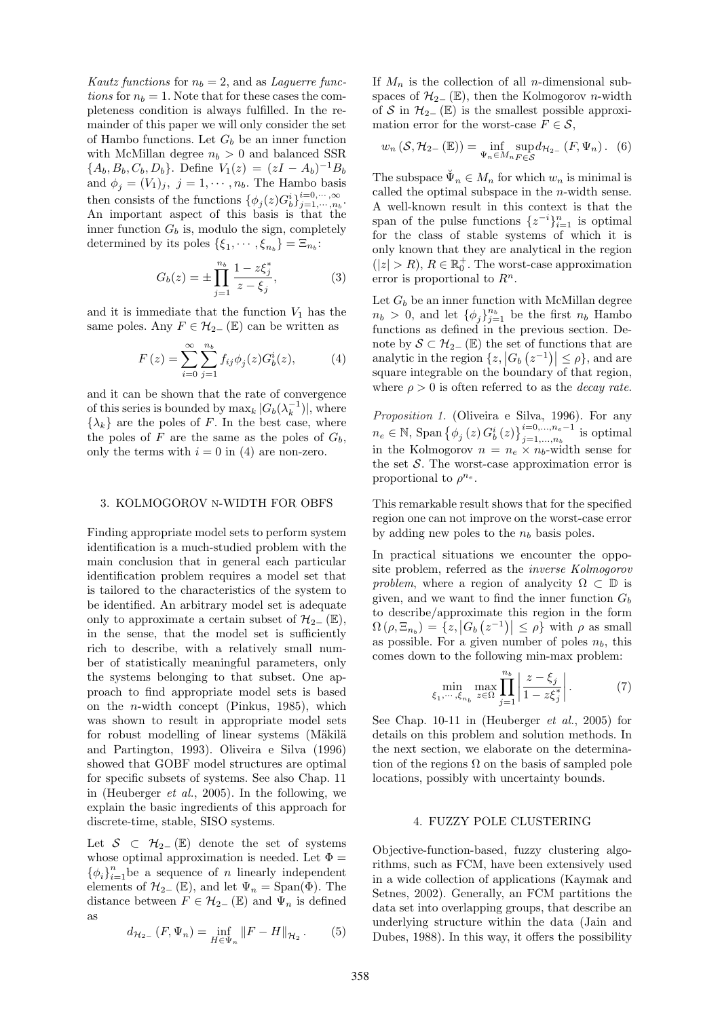Kautz functions for  $n_b = 2$ , and as Laguerre functions for  $n_b = 1$ . Note that for these cases the completeness condition is always fulfilled. In the remainder of this paper we will only consider the set of Hambo functions. Let  $G_b$  be an inner function with McMillan degree  $n_b > 0$  and balanced SSR  ${A_b, B_b, C_b, D_b}.$  Define  $V_1(z)=(zI - A_b)^{-1}B_b$ and  $\phi_i = (V_1)_j$ ,  $j = 1, \dots, n_b$ . The Hambo basis then consists of the functions  $\{\phi_j(z)G_b^i\}_{j=1,\dots,n_b}^{i=0,\dots,\infty}$ .<br>An important aspect of this basis is that the inner function  $G_b$  is, modulo the sign, completely determined by its poles  $\{\xi_1, \dots, \xi_{n_b} \} = \Xi_{n_b}$ :

$$
G_b(z) = \pm \prod_{j=1}^{n_b} \frac{1 - z \xi_j^*}{z - \xi_j},
$$
 (3)

and it is immediate that the function  $V_1$  has the same poles. Any  $F \in \mathcal{H}_{2-}(\mathbb{E})$  can be written as

$$
F(z) = \sum_{i=0}^{\infty} \sum_{j=1}^{n_b} f_{ij} \phi_j(z) G_b^i(z), \tag{4}
$$

and it can be shown that the rate of convergence of this series is bounded by  $\max_k |G_b(\lambda_k^{-1})|$ , where  $\{\lambda_k\}$  are the poles of F. In the best case, where the poles of F are the same as the poles of  $G_b$ , only the terms with  $i = 0$  in (4) are non-zero.

### 3. KOLMOGOROV N-WIDTH FOR OBFS

Finding appropriate model sets to perform system identification is a much-studied problem with the main conclusion that in general each particular identification problem requires a model set that is tailored to the characteristics of the system to be identified. An arbitrary model set is adequate only to approximate a certain subset of  $\mathcal{H}_{2-}(\mathbb{E}),$ in the sense, that the model set is sufficiently rich to describe, with a relatively small number of statistically meaningful parameters, only the systems belonging to that subset. One approach to find appropriate model sets is based on the n-width concept (Pinkus, 1985), which was shown to result in appropriate model sets for robust modelling of linear systems (Mäkilä and Partington, 1993). Oliveira e Silva (1996) showed that GOBF model structures are optimal for specific subsets of systems. See also Chap. 11 in (Heuberger et al., 2005). In the following, we explain the basic ingredients of this approach for discrete-time, stable, SISO systems.

Let  $S \subset H_{2-}(\mathbb{E})$  denote the set of systems whose optimal approximation is needed. Let  $\Phi =$  $\{\phi_i\}_{i=1}^n$  be a sequence of n linearly independent elements of  $\mathcal{H}_{2-}(\mathbb{E})$ , and let  $\Psi_n = \text{Span}(\Phi)$ . The distance between  $F \in \mathcal{H}_{2-}(\mathbb{E})$  and  $\Psi_n$  is defined as

$$
d_{\mathcal{H}_{2-}}(F,\Psi_n) = \inf_{H \in \Psi_n} ||F - H||_{\mathcal{H}_2}.
$$
 (5)

If  $M_n$  is the collection of all *n*-dimensional subspaces of  $\mathcal{H}_{2-}(\mathbb{E})$ , then the Kolmogorov *n*-width of S in  $\mathcal{H}_{2-}(\mathbb{E})$  is the smallest possible approximation error for the worst-case  $F \in \mathcal{S}$ ,

$$
w_n\left(\mathcal{S}, \mathcal{H}_{2-}\left(\mathbb{E}\right)\right) = \inf_{\Psi_n \in M_n} \sup_{F \in \mathcal{S}} d_{\mathcal{H}_{2-}}\left(F, \Psi_n\right). \tag{6}
$$

The subspace  $\Psi_n \in M_n$  for which  $w_n$  is minimal is called the optimal subspace in the  $n$ -width sense. A well-known result in this context is that the span of the pulse functions  $\{z^{-i}\}_{i=1}^n$  is optimal for the class of stable systems of which it is only known that they are analytical in the region  $(|z| > R)$ ,  $R \in \mathbb{R}_0^+$ . The worst-case approximation error is proportional to  $R^n$ .

Let  $G_b$  be an inner function with McMillan degree  $n_b > 0$ , and let  $\{\phi_j\}_{j=1}^{n_b}$  be the first  $n_b$  Hambo functions as defined in the previous section. Denote by  $S \subset \mathcal{H}_{2-}$  ( $\mathbb{E}$ ) the set of functions that are analytic in the region  $\{z, |G_b(z^{-1})| \leq \rho\}$ , and are square integrable on the boundary of that region, where  $\rho > 0$  is often referred to as the *decay rate*.

Proposition 1. (Oliveira e Silva, 1996). For any  $n_e \in \mathbb{N}$ , Span  $\{\phi_j(z) G_b^i(z)\}_{j=1,...,n_b}^{i=0,...,n_e-1}$  is optimal in the Kolmogorov  $n = n_e \times n_b$ -width sense for the set  $S$ . The worst-case approximation error is proportional to  $\rho^{n_e}$ .

This remarkable result shows that for the specified region one can not improve on the worst-case error by adding new poles to the  $n_b$  basis poles.

In practical situations we encounter the opposite problem, referred as the inverse Kolmogorov problem, where a region of analycity  $\Omega \subset \mathbb{D}$  is given, and we want to find the inner function  $G_b$ to describe/approximate this region in the form  $\Omega(\rho, \Xi_{n_b}) = \{z, |G_b(z^{-1})| \leq \rho\}$  with  $\rho$  as small as possible. For a given number of poles  $n_b$ , this comes down to the following min-max problem:

$$
\min_{\xi_1,\cdots,\xi_{n_b}} \max_{z \in \Omega} \prod_{j=1}^{n_b} \left| \frac{z - \xi_j}{1 - z \xi_j^*} \right|.
$$
 (7)

See Chap. 10-11 in (Heuberger et al., 2005) for details on this problem and solution methods. In the next section, we elaborate on the determination of the regions  $\Omega$  on the basis of sampled pole locations, possibly with uncertainty bounds.

#### 4. FUZZY POLE CLUSTERING

Objective-function-based, fuzzy clustering algorithms, such as FCM, have been extensively used in a wide collection of applications (Kaymak and Setnes, 2002). Generally, an FCM partitions the data set into overlapping groups, that describe an underlying structure within the data (Jain and Dubes, 1988). In this way, it offers the possibility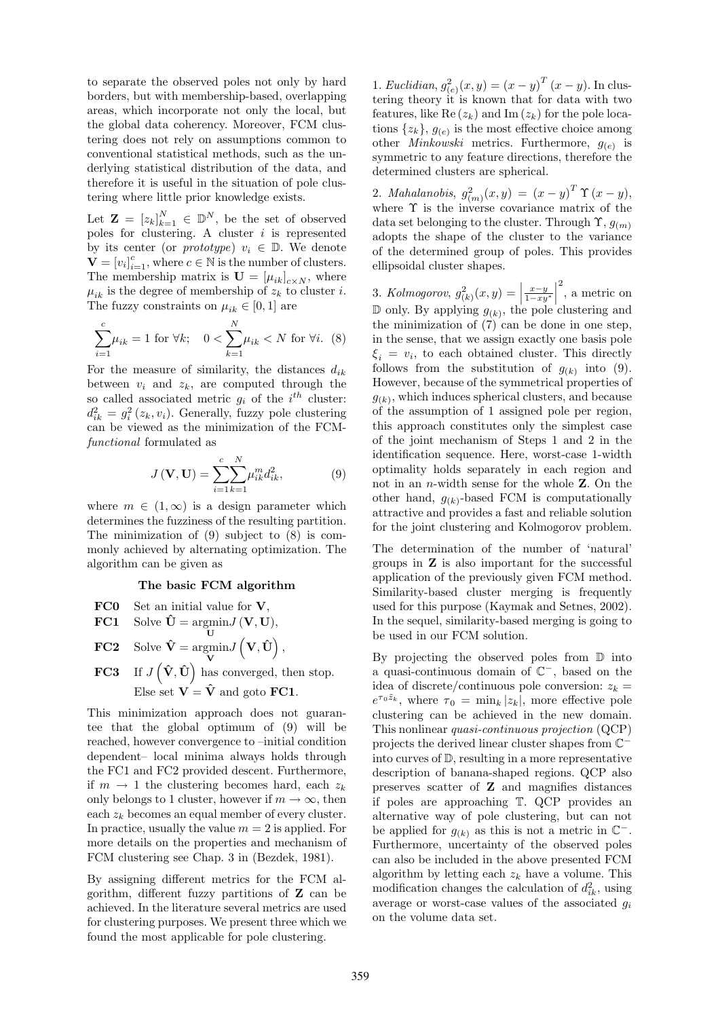to separate the observed poles not only by hard borders, but with membership-based, overlapping areas, which incorporate not only the local, but the global data coherency. Moreover, FCM clustering does not rely on assumptions common to conventional statistical methods, such as the underlying statistical distribution of the data, and therefore it is useful in the situation of pole clustering where little prior knowledge exists.

Let  $\mathbf{Z} = [z_k]_{k=1}^N \in \mathbb{D}^N$ , be the set of observed poles for clustering. A cluster  $i$  is represented by its center (or *prototype*)  $v_i \in \mathbb{D}$ . We denote  $\mathbf{V} = [v_i]_{i=1}^c$ , where  $c \in \mathbb{N}$  is the number of clusters. The membership matrix is  $\mathbf{U} = [\mu_{ik}]_{c \times N}$ , where  $\mu_{ik}$  is the degree of membership of  $z_k$  to cluster *i*. The fuzzy constraints on  $\mu_{ik} \in [0,1]$  are

$$
\sum_{i=1}^{c} \mu_{ik} = 1 \text{ for } \forall k; \quad 0 < \sum_{k=1}^{N} \mu_{ik} < N \text{ for } \forall i. \tag{8}
$$

For the measure of similarity, the distances  $d_{ik}$ between  $v_i$  and  $z_k$ , are computed through the so called associated metric  $g_i$  of the  $i^{th}$  cluster:  $d_{ik}^2 = g_i^2(z_k, v_i)$ . Generally, fuzzy pole clustering can be viewed as the minimization of the FCMfunctional formulated as

$$
J(\mathbf{V}, \mathbf{U}) = \sum_{i=1}^{c} \sum_{k=1}^{N} \mu_{ik}^{m} d_{ik}^{2},
$$
 (9)

where  $m \in (1,\infty)$  is a design parameter which determines the fuzziness of the resulting partition. The minimization of (9) subject to (8) is commonly achieved by alternating optimization. The algorithm can be given as

## **The basic FCM algorithm**

**FC0** Set an initial value for 
$$
V
$$
,

**FC1** Solve 
$$
\hat{\mathbf{U}} = \underset{\mathbf{U}}{\text{argmin}} J(\mathbf{V}, \mathbf{U}),
$$

- **FC2** Solve  $\hat{\mathbf{V}} = \text{argmin}$ **V**  $J(\mathbf{V}, \hat{\mathbf{U}}),$
- **FC3** If  $J(\hat{\mathbf{V}}, \hat{\mathbf{U}})$  has converged, then stop. Else set  $V = \hat{V}$  and goto **FC1**.

This minimization approach does not guarantee that the global optimum of (9) will be reached, however convergence to –initial condition dependent– local minima always holds through the FC1 and FC2 provided descent. Furthermore, if  $m \to 1$  the clustering becomes hard, each  $z_k$ only belongs to 1 cluster, however if  $m \to \infty$ , then each  $z_k$  becomes an equal member of every cluster. In practice, usually the value  $m = 2$  is applied. For more details on the properties and mechanism of FCM clustering see Chap. 3 in (Bezdek, 1981).

By assigning different metrics for the FCM algorithm, different fuzzy partitions of **Z** can be achieved. In the literature several metrics are used for clustering purposes. We present three which we found the most applicable for pole clustering.

1. Euclidian,  $g_{(e)}^2(x, y) = (x - y)^T (x - y)$ . In clustering theory it is known that for data with two features, like Re  $(z_k)$  and Im  $(z_k)$  for the pole locations  $\{z_k\}$ ,  $g_{(e)}$  is the most effective choice among other *Minkowski* metrics. Furthermore,  $g_{(e)}$  is symmetric to any feature directions, therefore the determined clusters are spherical.

2. Mahalanobis,  $g_{(m)}^2(x,y) = (x - y)^T \Upsilon (x - y),$ where  $\Upsilon$  is the inverse covariance matrix of the data set belonging to the cluster. Through  $\Upsilon$ ,  $g_{(m)}$ adopts the shape of the cluster to the variance of the determined group of poles. This provides ellipsoidal cluster shapes.

3. Kolmogorov,  $g_{(k)}^2(x,y) = \left| \frac{x-y}{1-xy^*} \right|$  $\begin{array}{c} \hline \end{array}$ 2 , a metric on  $\mathbb D$  only. By applying  $g_{(k)}$ , the pole clustering and the minimization of  $(7)$  can be done in one step, in the sense, that we assign exactly one basis pole  $\xi_i = v_i$ , to each obtained cluster. This directly follows from the substitution of  $g_{(k)}$  into (9). However, because of the symmetrical properties of  $g_{(k)}$ , which induces spherical clusters, and because of the assumption of 1 assigned pole per region, this approach constitutes only the simplest case of the joint mechanism of Steps 1 and 2 in the identification sequence. Here, worst-case 1-width optimality holds separately in each region and not in an n-width sense for the whole **Z**. On the other hand,  $g_{(k)}$ -based FCM is computationally attractive and provides a fast and reliable solution for the joint clustering and Kolmogorov problem.

The determination of the number of 'natural' groups in **Z** is also important for the successful application of the previously given FCM method. Similarity-based cluster merging is frequently used for this purpose (Kaymak and Setnes, 2002). In the sequel, similarity-based merging is going to be used in our FCM solution.

By projecting the observed poles from D into a quasi-continuous domain of C−, based on the idea of discrete/continuous pole conversion:  $z_k =$  $e^{\tau_0 \tilde{z}_k}$ , where  $\tau_0 = \min_k |z_k|$ , more effective pole clustering can be achieved in the new domain. This nonlinear quasi-continuous projection (QCP) projects the derived linear cluster shapes from C<sup>−</sup> into curves of D, resulting in a more representative description of banana-shaped regions. QCP also preserves scatter of **Z** and magnifies distances if poles are approaching T. QCP provides an alternative way of pole clustering, but can not be applied for  $g_{(k)}$  as this is not a metric in  $\mathbb{C}^-$ . Furthermore, uncertainty of the observed poles can also be included in the above presented FCM algorithm by letting each  $z_k$  have a volume. This modification changes the calculation of  $d_{ik}^2$ , using average or worst-case values of the associated  $q_i$ on the volume data set.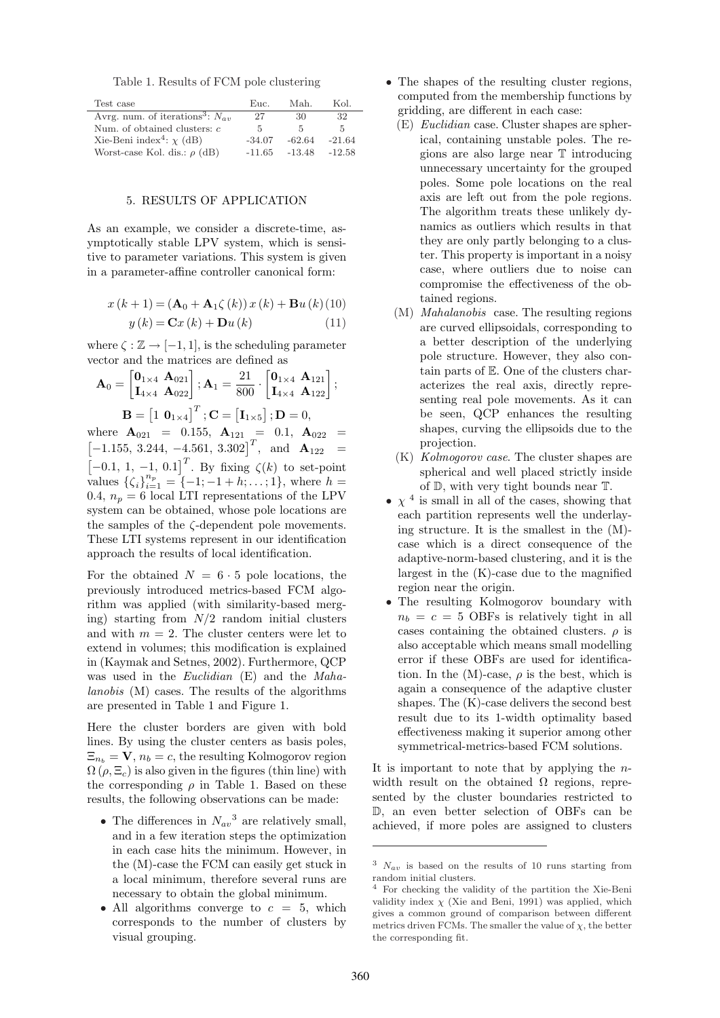|  |  |  |  | Table 1. Results of FCM pole clustering |
|--|--|--|--|-----------------------------------------|
|--|--|--|--|-----------------------------------------|

| Test case                                        | Euc.     | Mah.     | Kol.     |
|--------------------------------------------------|----------|----------|----------|
| Avrg. num. of iterations <sup>3</sup> : $N_{av}$ | 27       | 30       | 32       |
| Num. of obtained clusters: $c$                   | -5       | 5        | 5.       |
| Xie-Beni index <sup>4</sup> : $\chi$ (dB)        | $-34.07$ | $-62.64$ | $-21.64$ |
| Worst-case Kol. dis.: $\rho$ (dB)                | $-11.65$ | -13.48   | $-12.58$ |

## 5. RESULTS OF APPLICATION

As an example, we consider a discrete-time, asymptotically stable LPV system, which is sensitive to parameter variations. This system is given in a parameter-affine controller canonical form:

$$
x(k + 1) = (\mathbf{A}_0 + \mathbf{A}_1 \zeta(k)) x(k) + \mathbf{B} u(k) (10)
$$

$$
y(k) = \mathbf{C}x(k) + \mathbf{D}u(k)
$$
 (11)

where  $\zeta : \mathbb{Z} \to [-1, 1]$ , is the scheduling parameter vector and the matrices are defined as

$$
\mathbf{A}_0 = \begin{bmatrix} \mathbf{0}_{1 \times 4} & \mathbf{A}_{021} \\ \mathbf{I}_{4 \times 4} & \mathbf{A}_{022} \end{bmatrix}; \mathbf{A}_1 = \frac{21}{800} \cdot \begin{bmatrix} \mathbf{0}_{1 \times 4} & \mathbf{A}_{121} \\ \mathbf{I}_{4 \times 4} & \mathbf{A}_{122} \end{bmatrix};
$$
\n
$$
\mathbf{B} = \begin{bmatrix} 1 & \mathbf{0}_{1 \times 4} \end{bmatrix}^T; \mathbf{C} = \begin{bmatrix} \mathbf{I}_{1 \times 5} \end{bmatrix}; \mathbf{D} = 0,
$$

where  $\mathbf{A}_{021} = 0.155, \ \mathbf{A}_{121} = 0.1, \ \mathbf{A}_{022} =$  $\begin{bmatrix} -1.155, 3.244, -4.561, 3.302 \end{bmatrix}^T$ , and  $\mathbf{A}_{122}$  =  $[-0.1, 1, -1, 0.1]^T$ . By fixing  $\zeta(k)$  to set-point values  $\{\zeta_i\}_{i=1}^{n_p} = \{-1; -1 + h; \ldots; 1\}$ , where  $h =$ 0.4,  $n_p = 6$  local LTI representations of the LPV system can be obtained, whose pole locations are the samples of the ζ-dependent pole movements. These LTI systems represent in our identification approach the results of local identification.

For the obtained  $N = 6 \cdot 5$  pole locations, the previously introduced metrics-based FCM algorithm was applied (with similarity-based merging) starting from  $N/2$  random initial clusters and with  $m = 2$ . The cluster centers were let to extend in volumes; this modification is explained in (Kaymak and Setnes, 2002). Furthermore, QCP was used in the Euclidian (E) and the Mahalanobis (M) cases. The results of the algorithms are presented in Table 1 and Figure 1.

Here the cluster borders are given with bold lines. By using the cluster centers as basis poles,  $\Xi_{n_b} = \mathbf{V}, n_b = c$ , the resulting Kolmogorov region  $\Omega(\rho, \Xi_c)$  is also given in the figures (thin line) with the corresponding  $\rho$  in Table 1. Based on these results, the following observations can be made:

- The differences in  $N_{av}^3$  are relatively small, and in a few iteration steps the optimization in each case hits the minimum. However, in the (M)-case the FCM can easily get stuck in a local minimum, therefore several runs are necessary to obtain the global minimum.
- All algorithms converge to  $c = 5$ , which corresponds to the number of clusters by visual grouping.
- The shapes of the resulting cluster regions, computed from the membership functions by gridding, are different in each case:
	- (E) Euclidian case. Cluster shapes are spherical, containing unstable poles. The regions are also large near T introducing unnecessary uncertainty for the grouped poles. Some pole locations on the real axis are left out from the pole regions. The algorithm treats these unlikely dynamics as outliers which results in that they are only partly belonging to a cluster. This property is important in a noisy case, where outliers due to noise can compromise the effectiveness of the obtained regions.
	- (M) Mahalanobis case. The resulting regions are curved ellipsoidals, corresponding to a better description of the underlying pole structure. However, they also contain parts of E. One of the clusters characterizes the real axis, directly representing real pole movements. As it can be seen, QCP enhances the resulting shapes, curving the ellipsoids due to the projection.
	- (K) Kolmogorov case. The cluster shapes are spherical and well placed strictly inside of D, with very tight bounds near T.
- $\chi$  <sup>4</sup> is small in all of the cases, showing that each partition represents well the underlaying structure. It is the smallest in the (M) case which is a direct consequence of the adaptive-norm-based clustering, and it is the largest in the (K)-case due to the magnified region near the origin.
- The resulting Kolmogorov boundary with  $n_b = c = 5$  OBFs is relatively tight in all cases containing the obtained clusters.  $\rho$  is also acceptable which means small modelling error if these OBFs are used for identification. In the  $(M)$ -case,  $\rho$  is the best, which is again a consequence of the adaptive cluster shapes. The (K)-case delivers the second best result due to its 1-width optimality based effectiveness making it superior among other symmetrical-metrics-based FCM solutions.

It is important to note that by applying the  $n$ width result on the obtained  $\Omega$  regions, represented by the cluster boundaries restricted to D, an even better selection of OBFs can be achieved, if more poles are assigned to clusters

 $3$   $N_{av}$  is based on the results of 10 runs starting from random initial clusters.

<sup>4</sup> For checking the validity of the partition the Xie-Beni validity index  $\chi$  (Xie and Beni, 1991) was applied, which gives a common ground of comparison between different metrics driven FCMs. The smaller the value of  $\chi$ , the better the corresponding fit.